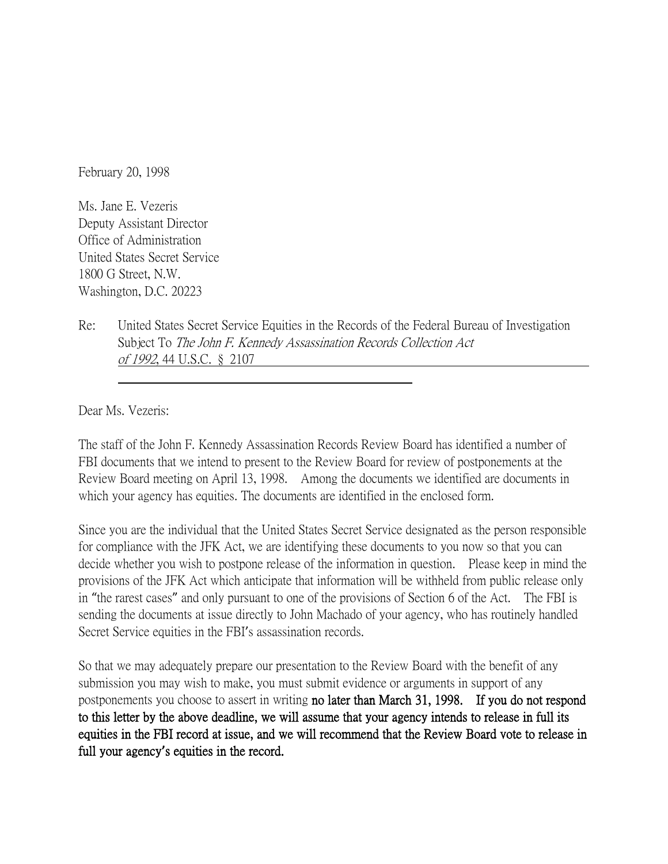February 20, 1998

Ms. Jane E. Vezeris Deputy Assistant Director Office of Administration United States Secret Service 1800 G Street, N.W. Washington, D.C. 20223

Re: United States Secret Service Equities in the Records of the Federal Bureau of Investigation Subject To The John F. Kennedy Assassination Records Collection Act of 1992, 44 U.S.C. § 2107

Dear Ms. Vezeris:

The staff of the John F. Kennedy Assassination Records Review Board has identified a number of FBI documents that we intend to present to the Review Board for review of postponements at the Review Board meeting on April 13, 1998. Among the documents we identified are documents in which your agency has equities. The documents are identified in the enclosed form.

Since you are the individual that the United States Secret Service designated as the person responsible for compliance with the JFK Act, we are identifying these documents to you now so that you can decide whether you wish to postpone release of the information in question. Please keep in mind the provisions of the JFK Act which anticipate that information will be withheld from public release only in "the rarest cases" and only pursuant to one of the provisions of Section 6 of the Act. The FBI is sending the documents at issue directly to John Machado of your agency, who has routinely handled Secret Service equities in the FBI's assassination records.

So that we may adequately prepare our presentation to the Review Board with the benefit of any submission you may wish to make, you must submit evidence or arguments in support of any postponements you choose to assert in writing no later than March 31, 1998. If you do not respond to this letter by the above deadline, we will assume that your agency intends to release in full its equities in the FBI record at issue, and we will recommend that the Review Board vote to release in full your agency**'**s equities in the record.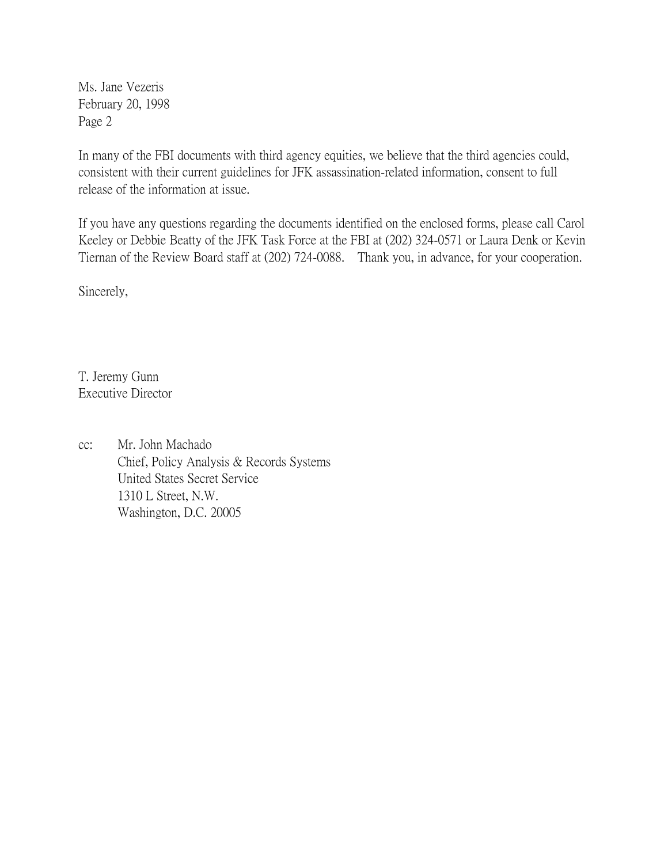Ms. Jane Vezeris February 20, 1998 Page 2

In many of the FBI documents with third agency equities, we believe that the third agencies could, consistent with their current guidelines for JFK assassination-related information, consent to full release of the information at issue.

If you have any questions regarding the documents identified on the enclosed forms, please call Carol Keeley or Debbie Beatty of the JFK Task Force at the FBI at (202) 324-0571 or Laura Denk or Kevin Tiernan of the Review Board staff at (202) 724-0088. Thank you, in advance, for your cooperation.

Sincerely,

T. Jeremy Gunn Executive Director

cc: Mr. John Machado Chief, Policy Analysis & Records Systems United States Secret Service 1310 L Street, N.W. Washington, D.C. 20005